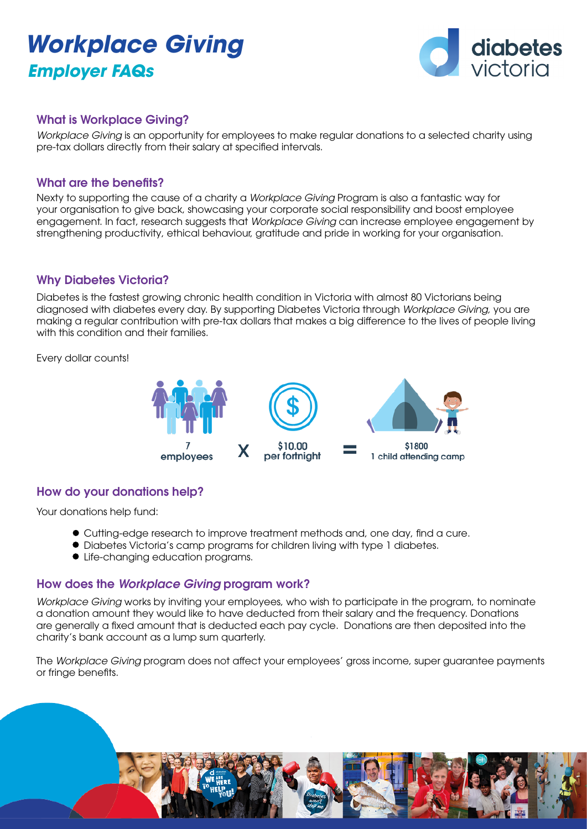# *Workplace Giving Employer FAQs*



## What is Workplace Giving?

*Workplace Giving* is an opportunity for employees to make regular donations to a selected charity using pre-tax dollars directly from their salary at specified intervals.

#### What are the benefits?

Nexty to supporting the cause of a charity a *Workplace Giving* Program is also a fantastic way for your organisation to give back, showcasing your corporate social responsibility and boost employee engagement. In fact, research suggests that *Workplace Giving* can increase employee engagement by strengthening productivity, ethical behaviour, gratitude and pride in working for your organisation.

### Why Diabetes Victoria?

Diabetes is the fastest growing chronic health condition in Victoria with almost 80 Victorians being diagnosed with diabetes every day. By supporting Diabetes Victoria through *Workplace Giving,* you are making a regular contribution with pre-tax dollars that makes a big difference to the lives of people living with this condition and their families.

Every dollar counts!



# How do your donations help?

Your donations help fund:

- Cutting-edge research to improve treatment methods and, one day, find a cure.
- Diabetes Victoria's camp programs for children living with type 1 diabetes.
- Life-changing education programs.

#### How does the *Workplace Giving* program work?

*Workplace Giving* works by inviting your employees, who wish to participate in the program, to nominate a donation amount they would like to have deducted from their salary and the frequency. Donations are generally a fixed amount that is deducted each pay cycle. Donations are then deposited into the charity's bank account as a lump sum quarterly.

The *Workplace Giving* program does not affect your employees' gross income, super guarantee payments or fringe benefits.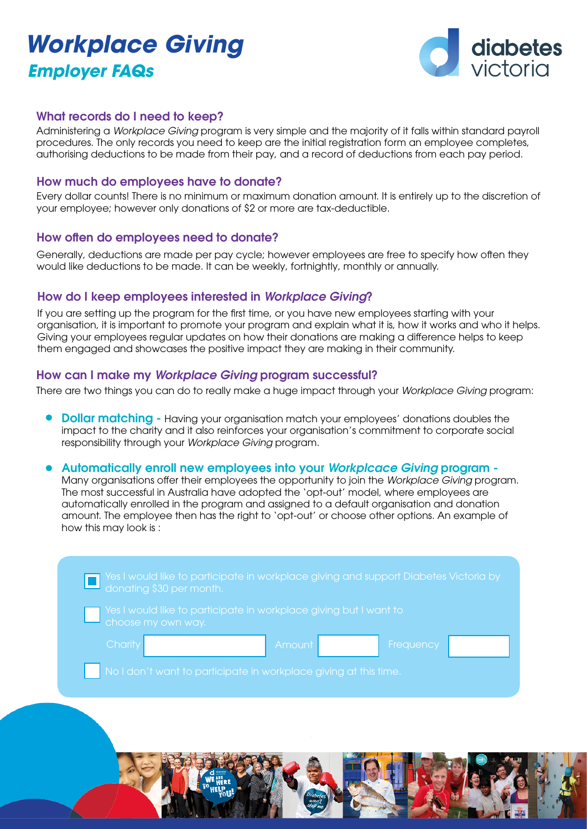# *Workplace Giving Employer FAQs*



## What records do I need to keep?

Administering a *Workplace Giving* program is very simple and the majority of it falls within standard payroll procedures. The only records you need to keep are the initial registration form an employee completes, authorising deductions to be made from their pay, and a record of deductions from each pay period.

### How much do employees have to donate?

Every dollar counts! There is no minimum or maximum donation amount. It is entirely up to the discretion of your employee; however only donations of \$2 or more are tax-deductible.

#### How often do employees need to donate?

Generally, deductions are made per pay cycle; however employees are free to specify how often they would like deductions to be made. It can be weekly, fortnightly, monthly or annually.

#### How do I keep employees interested in *Workplace Giving*?

If you are setting up the program for the first time, or you have new employees starting with your organisation, it is important to promote your program and explain what it is, how it works and who it helps. Giving your employees regular updates on how their donations are making a difference helps to keep them engaged and showcases the positive impact they are making in their community.

#### How can I make my *Workplace Giving* program successful?

There are two things you can do to really make a huge impact through your *Workplace Giving* program:

- **Dollar matching Having your organisation match your employees' donations doubles the** impact to the charity and it also reinforces your organisation's commitment to corporate social responsibility through your *Workplace Giving* program.
- Automatically enroll new employees into your *Workplcace Giving* program -

Many organisations offer their employees the opportunity to join the *Workplace Giving* program. The most successful in Australia have adopted the 'opt-out' model, where employees are automatically enrolled in the program and assigned to a default organisation and donation amount. The employee then has the right to 'opt-out' or choose other options. An example of how this may look is :

|                    |                                                                   | The Yes I would like to participate in workplace giving and support Diabetes Victoria by a donating \$30 per month. |
|--------------------|-------------------------------------------------------------------|---------------------------------------------------------------------------------------------------------------------|
| choose my own way. | Yes I would like to participate in workplace giving but I want to |                                                                                                                     |
| Charity            | Amount,                                                           | Frequency                                                                                                           |
|                    | No I don't want to participate in workplace giving at this time.  |                                                                                                                     |